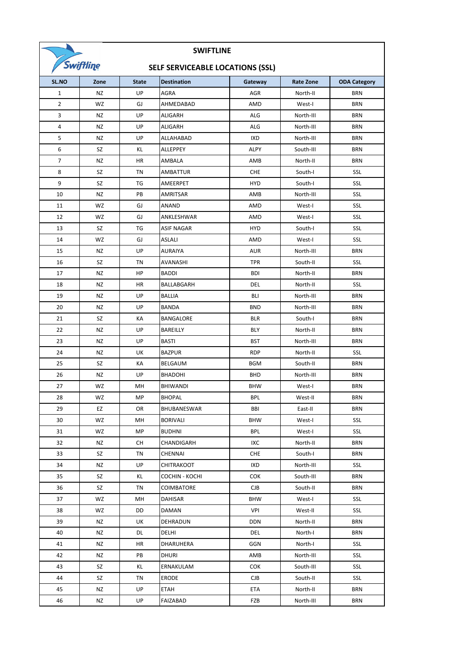

## **SWIFTLINE**

## **SELF SERVICEABLE LOCATIONS (SSL)**

| SELF SENVICEADLE LUCATIUNS (SSL) |           |              |                    |            |                  |                     |  |
|----------------------------------|-----------|--------------|--------------------|------------|------------------|---------------------|--|
| SL.NO                            | Zone      | <b>State</b> | <b>Destination</b> | Gateway    | <b>Rate Zone</b> | <b>ODA Category</b> |  |
| $\mathbf{1}$                     | NZ        | UP           | AGRA               | AGR        | North-II         | BRN                 |  |
| $\overline{2}$                   | WZ        | GJ           | AHMEDABAD          | AMD        | West-I           | <b>BRN</b>          |  |
| 3                                | NZ        | UP           | ALIGARH            | ALG        | North-III        | <b>BRN</b>          |  |
| 4                                | NZ        | UP           | ALIGARH            | ALG        | North-III        | <b>BRN</b>          |  |
| 5                                | NZ        | UP           | ALLAHABAD          | IXD        | North-III        | <b>BRN</b>          |  |
| 6                                | SZ        | KL           | ALLEPPEY           | ALPY       | South-III        | <b>BRN</b>          |  |
| $\overline{7}$                   | NZ        | HR           | AMBALA             | AMB        | North-II         | <b>BRN</b>          |  |
| 8                                | SZ        | TN           | AMBATTUR           | <b>CHE</b> | South-I          | SSL                 |  |
| 9                                | SZ        | TG           | AMEERPET           | <b>HYD</b> | South-I          | SSL                 |  |
| 10                               | NZ        | PB           | AMRITSAR           | AMB        | North-III        | SSL                 |  |
| 11                               | WZ        | GJ           | ANAND              | AMD        | West-I           | SSL                 |  |
| 12                               | WZ        | GJ           | ANKLESHWAR         | AMD        | West-I           | SSL                 |  |
| 13                               | SZ        | TG           | <b>ASIF NAGAR</b>  | <b>HYD</b> | South-I          | SSL                 |  |
| 14                               | WZ        | GJ           | ASLALI             | AMD        | West-I           | SSL                 |  |
| 15                               | NZ        | UP           | AURAIYA            | <b>AUR</b> | North-III        | BRN                 |  |
| 16                               | SZ        | TN           | AVANASHI           | <b>TPR</b> | South-II         | SSL                 |  |
| 17                               | NZ        | HP           | <b>BADDI</b>       | <b>BDI</b> | North-II         | BRN                 |  |
| 18                               | NZ        | HR           | BALLABGARH         | DEL        | North-II         | SSL                 |  |
| 19                               | <b>NZ</b> | UP           | <b>BALLIA</b>      | <b>BLI</b> | North-III        | <b>BRN</b>          |  |
| 20                               | NZ        | UP           | BANDA              | <b>BND</b> | North-III        | BRN                 |  |
| 21                               | SZ        | КA           | BANGALORE          | <b>BLR</b> | South-I          | <b>BRN</b>          |  |
| 22                               | NZ        | UP           | BAREILLY           | BLY        | North-II         | <b>BRN</b>          |  |
| 23                               | NZ        | UP           | <b>BASTI</b>       | <b>BST</b> | North-III        | <b>BRN</b>          |  |
| 24                               | NZ        | UK           | <b>BAZPUR</b>      | <b>RDP</b> | North-II         | SSL                 |  |
| 25                               | SZ        | КA           | BELGAUM            | <b>BGM</b> | South-II         | <b>BRN</b>          |  |
| 26                               | NZ        | UP           | <b>BHADOHI</b>     | <b>BHD</b> | North-III        | <b>BRN</b>          |  |
| 27                               | WZ        | MН           | <b>BHIWANDI</b>    | <b>BHW</b> | West-I           | <b>BRN</b>          |  |
| 28                               | WZ        | MP           | <b>BHOPAL</b>      | BPL        | West-II          | <b>BRN</b>          |  |
| 29                               | EZ        | OR           | BHUBANESWAR        | BBI        | East-II          | BRN                 |  |
| 30                               | WZ        | MН           | <b>BORIVALI</b>    | <b>BHW</b> | West-I           | SSL                 |  |
| 31                               | WZ        | MP           | <b>BUDHNI</b>      | <b>BPL</b> | West-I           | SSL                 |  |
| 32                               | NZ        | CН           | CHANDIGARH         | IXC        | North-II         | <b>BRN</b>          |  |
| 33                               | SZ        | TN           | CHENNAI            | <b>CHE</b> | South-I          | <b>BRN</b>          |  |
| 34                               | NZ        | UP           | CHITRAKOOT         | IXD        | North-III        | SSL                 |  |
| 35                               | SZ        | KL           | COCHIN - KOCHI     | <b>COK</b> | South-III        | <b>BRN</b>          |  |
| 36                               | SZ        | TN           | COIMBATORE         | <b>CJB</b> | South-II         | <b>BRN</b>          |  |
| 37                               | WZ        | MН           | DAHISAR            | <b>BHW</b> | West-I           | SSL                 |  |
| 38                               | WZ        | DD           | DAMAN              | VPI        | West-II          | SSL                 |  |
| 39                               | NZ        | UK           | DEHRADUN           | <b>DDN</b> | North-II         | <b>BRN</b>          |  |
| 40                               | NZ        | DL           | DELHI              | DEL        | North-I          | <b>BRN</b>          |  |
| 41                               | NZ        | HR           | DHARUHERA          | GGN        | North-I          | SSL                 |  |
| 42                               | NZ        | PB           | <b>DHURI</b>       | AMB        | North-III        | SSL                 |  |
| 43                               | SZ        | KL           | ERNAKULAM          | <b>COK</b> | South-III        | SSL                 |  |
| 44                               | SZ        | TN           | ERODE              | <b>CJB</b> | South-II         | SSL                 |  |
| 45                               | NZ        | UP           | <b>ETAH</b>        | ETA        | North-II         | BRN                 |  |
| 46                               | NZ        | UP           | FAIZABAD           | FZB        | North-III        | <b>BRN</b>          |  |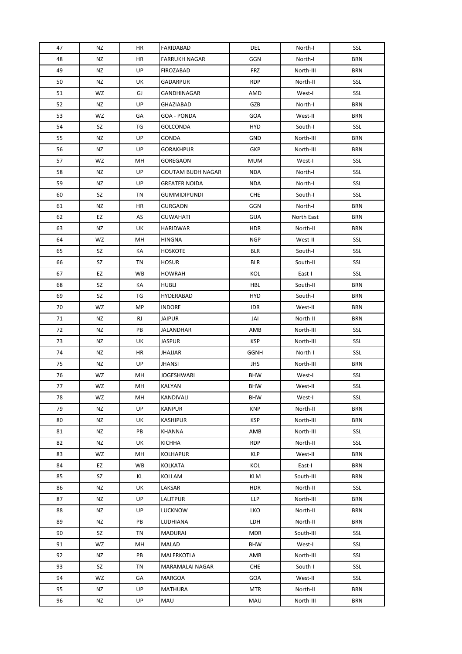| 47 | NZ | HR | FARIDABAD                | DEL        | North-I    | SSL        |
|----|----|----|--------------------------|------------|------------|------------|
| 48 | NZ | HR | <b>FARRUKH NAGAR</b>     | GGN        | North-I    | <b>BRN</b> |
| 49 | NZ | UP | FIROZABAD                | FRZ        | North-III  | BRN        |
| 50 | NZ | UK | GADARPUR                 | <b>RDP</b> | North-II   | SSL        |
| 51 | WZ | GJ | GANDHINAGAR              | AMD        | West-I     | SSL        |
| 52 | NZ | UP | GHAZIABAD                | GZB        | North-I    | <b>BRN</b> |
| 53 | WZ | GА | GOA - PONDA              | GOA        | West-II    | BRN        |
| 54 | SZ | TG | GOLCONDA                 | HYD        | South-I    | SSL        |
| 55 | NZ | UP | GONDA                    | <b>GND</b> | North-III  | BRN        |
| 56 | NZ | UP | <b>GORAKHPUR</b>         | <b>GKP</b> | North-III  | BRN        |
| 57 | WZ | MН | GOREGAON                 | <b>MUM</b> | West-I     | SSL        |
| 58 | NZ | UP | <b>GOUTAM BUDH NAGAR</b> | <b>NDA</b> | North-I    | SSL        |
| 59 | ΝZ | UP | <b>GREATER NOIDA</b>     | NDA        | North-I    | SSL        |
| 60 | SZ | TN | <b>GUMMIDIPUNDI</b>      | CHE        | South-I    | SSL        |
| 61 | ΝZ | ΗR | <b>GURGAON</b>           | GGN        | North-I    | BRN        |
| 62 | EZ | AS | <b>GUWAHATI</b>          | <b>GUA</b> | North East | <b>BRN</b> |
| 63 | NZ | UK | <b>HARIDWAR</b>          | HDR        | North-II   | BRN        |
| 64 | WZ | MН | <b>HINGNA</b>            | <b>NGP</b> | West-II    | SSL        |
| 65 | SZ | КA | <b>HOSKOTE</b>           | <b>BLR</b> | South-I    | SSL        |
| 66 | SZ | TN | <b>HOSUR</b>             | BLR        | South-II   | SSL        |
| 67 | EZ | WB | <b>HOWRAH</b>            | KOL        | East-I     | SSL        |
| 68 | SZ | КA | HUBLI                    | HBL        | South-II   | <b>BRN</b> |
| 69 | SZ | TG | HYDERABAD                | <b>HYD</b> | South-I    | <b>BRN</b> |
| 70 | WZ | MP | <b>INDORE</b>            | <b>IDR</b> | West-II    | BRN        |
| 71 | NZ | RJ | <b>JAIPUR</b>            | JAI        | North-II   | <b>BRN</b> |
| 72 | NZ | PB | JALANDHAR                | AMB        | North-III  | SSL        |
| 73 | ΝZ | UK | <b>JASPUR</b>            | <b>KSP</b> | North-III  | SSL        |
| 74 | NZ | HR | <b>JHAJJAR</b>           | GGNH       | North-I    | SSL        |
| 75 | NZ | UP | JHANSI                   | JHS        | North-III  | BRN        |
| 76 | WZ | MН | <b>JOGESHWARI</b>        | <b>BHW</b> | West-I     | SSL        |
| 77 | WZ | MН | KALYAN                   | <b>BHW</b> | West-II    | SSL        |
| 78 | WZ | MН | KANDIVALI                | <b>BHW</b> | West-I     | SSL        |
| 79 | NZ | UP | <b>KANPUR</b>            | <b>KNP</b> | North-II   | <b>BRN</b> |
| 80 | NZ | UK | <b>KASHIPUR</b>          | KSP        | North-III  | BRN        |
| 81 | NZ | PB | KHANNA                   | AMB        | North-III  | SSL        |
| 82 | NZ | UK | <b>KICHHA</b>            | <b>RDP</b> | North-II   | SSL        |
| 83 | WZ | MН | KOLHAPUR                 | KLP        | West-II    | <b>BRN</b> |
| 84 | EZ | WB | <b>KOLKATA</b>           | KOL        | East-I     | <b>BRN</b> |
| 85 | SZ | KL | KOLLAM                   | KLM        | South-III  | BRN        |
| 86 | NZ | UK | LAKSAR                   | <b>HDR</b> | North-II   | SSL        |
| 87 | NZ | UP | LALITPUR                 | LLP        | North-III  | <b>BRN</b> |
| 88 | NZ | UP | LUCKNOW                  | LKO        | North-II   | <b>BRN</b> |
| 89 | NZ | PB | LUDHIANA                 | LDH        | North-II   | BRN        |
| 90 | SZ | TN | <b>MADURAI</b>           | <b>MDR</b> | South-III  | SSL        |
| 91 | WZ | MН | MALAD                    | <b>BHW</b> | West-I     | SSL        |
| 92 | ΝZ | PB | MALERKOTLA               | AMB        | North-III  | SSL        |
| 93 | SZ | ΤN | MARAMALAI NAGAR          | <b>CHE</b> | South-I    | SSL        |
| 94 | WZ | GА | MARGOA                   | GOA        | West-II    | SSL        |
| 95 | NZ | UP | MATHURA                  | <b>MTR</b> | North-II   | <b>BRN</b> |
| 96 | NZ | UP | MAU                      | MAU        | North-III  | <b>BRN</b> |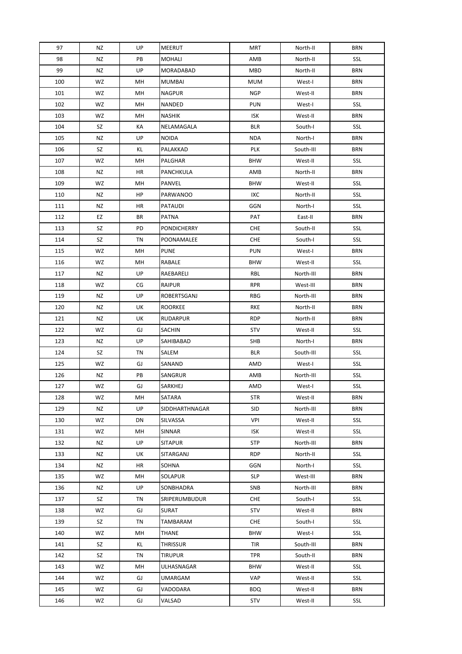| 97  | ΝZ | UP | MEERUT             | <b>MRT</b> | North-II  | <b>BRN</b> |
|-----|----|----|--------------------|------------|-----------|------------|
| 98  | NZ | PB | <b>MOHALI</b>      | AMB        | North-II  | SSL        |
| 99  | NZ | UP | MORADABAD          | MBD        | North-II  | <b>BRN</b> |
| 100 | WZ | MН | <b>MUMBAI</b>      | <b>MUM</b> | West-I    | <b>BRN</b> |
| 101 | WZ | MH | <b>NAGPUR</b>      | <b>NGP</b> | West-II   | <b>BRN</b> |
| 102 | WZ | MН | NANDED             | <b>PUN</b> | West-I    | SSL        |
| 103 | WZ | MН | <b>NASHIK</b>      | ISK        | West-II   | <b>BRN</b> |
| 104 | SZ | КA | NELAMAGALA         | <b>BLR</b> | South-I   | SSL        |
| 105 | NZ | UP | <b>NOIDA</b>       | <b>NDA</b> | North-I   | <b>BRN</b> |
| 106 | SZ | ΚL | PALAKKAD           | PLK        | South-III | BRN        |
| 107 | WZ | MH | PALGHAR            | <b>BHW</b> | West-II   | SSL        |
| 108 | NZ | HR | PANCHKULA          | AMB        | North-II  | BRN        |
| 109 | WZ | MH | PANVEL             | <b>BHW</b> | West-II   | SSL        |
| 110 | ΝZ | HP | <b>PARWANOO</b>    | IXC        | North-II  | SSL        |
| 111 | ΝZ | HR | PATAUDI            | GGN        | North-I   | SSL        |
| 112 | EZ | BR | <b>PATNA</b>       | PAT        | East-II   | <b>BRN</b> |
| 113 | SZ | PD | <b>PONDICHERRY</b> | <b>CHE</b> | South-II  | SSL        |
| 114 | SZ | TN | POONAMALEE         | <b>CHE</b> | South-I   | SSL        |
| 115 | WZ | MH | <b>PUNE</b>        | <b>PUN</b> | West-I    | <b>BRN</b> |
| 116 | WZ | MН | RABALE             | <b>BHW</b> | West-II   | SSL        |
| 117 | NZ | UP | RAEBARELI          | RBL        | North-III | BRN        |
| 118 | WZ | CG | <b>RAIPUR</b>      | <b>RPR</b> | West-III  | <b>BRN</b> |
| 119 | ΝZ | UP | <b>ROBERTSGANJ</b> | <b>RBG</b> | North-III | <b>BRN</b> |
| 120 | NZ | UK | <b>ROORKEE</b>     | <b>RKE</b> | North-II  | <b>BRN</b> |
| 121 | NZ | UK | <b>RUDARPUR</b>    | <b>RDP</b> | North-II  | <b>BRN</b> |
| 122 | WZ | GJ | SACHIN             | <b>STV</b> | West-II   | SSL        |
| 123 | NZ | UP | SAHIBABAD          | SHB        | North-I   | <b>BRN</b> |
| 124 | SZ | TN | SALEM              | <b>BLR</b> | South-III | SSL        |
| 125 | WZ | GJ | SANAND             | AMD        | West-I    | SSL        |
| 126 | NZ | PB | SANGRUR            | AMB        | North-III | SSL        |
| 127 | WZ | GJ | SARKHEJ            | AMD        | West-I    | SSL        |
| 128 | WZ | MН | SATARA             | <b>STR</b> | West-II   | BRN        |
| 129 | NZ | UP | SIDDHARTHNAGAR     | <b>SID</b> | North-III | <b>BRN</b> |
| 130 | WZ | DN | SILVASSA           | VPI        | West-II   | SSL        |
| 131 | WZ | MН | SINNAR             | ISK        | West-II   | SSL        |
| 132 | ΝZ | UP | <b>SITAPUR</b>     | <b>STP</b> | North-III | <b>BRN</b> |
| 133 | ΝZ | UK | SITARGANJ          | <b>RDP</b> | North-II  | SSL        |
| 134 | NZ | HR | SOHNA              | GGN        | North-I   | SSL        |
| 135 | WZ | MН | SOLAPUR            | <b>SLP</b> | West-III  | BRN        |
| 136 | NZ | UP | SONBHADRA          | SNB        | North-III | <b>BRN</b> |
| 137 | SZ | TN | SRIPERUMBUDUR      | <b>CHE</b> | South-I   | SSL        |
| 138 | WZ | GJ | <b>SURAT</b>       | STV        | West-II   | <b>BRN</b> |
| 139 | SZ | TN | TAMBARAM           | CHE        | South-I   | SSL        |
| 140 | WZ | MН | <b>THANE</b>       | <b>BHW</b> | West-I    | SSL        |
| 141 | SZ | KL | THRISSUR           | TIR        | South-III | <b>BRN</b> |
| 142 | SZ | ΤN | <b>TIRUPUR</b>     | <b>TPR</b> | South-II  | <b>BRN</b> |
| 143 | WZ | MН | ULHASNAGAR         | <b>BHW</b> | West-II   | SSL        |
| 144 | WZ | GJ | UMARGAM            | VAP        | West-II   | SSL        |
| 145 | WZ | GJ | VADODARA           | <b>BDQ</b> | West-II   | <b>BRN</b> |
| 146 | WZ | GJ | VALSAD             | <b>STV</b> | West-II   | SSL        |